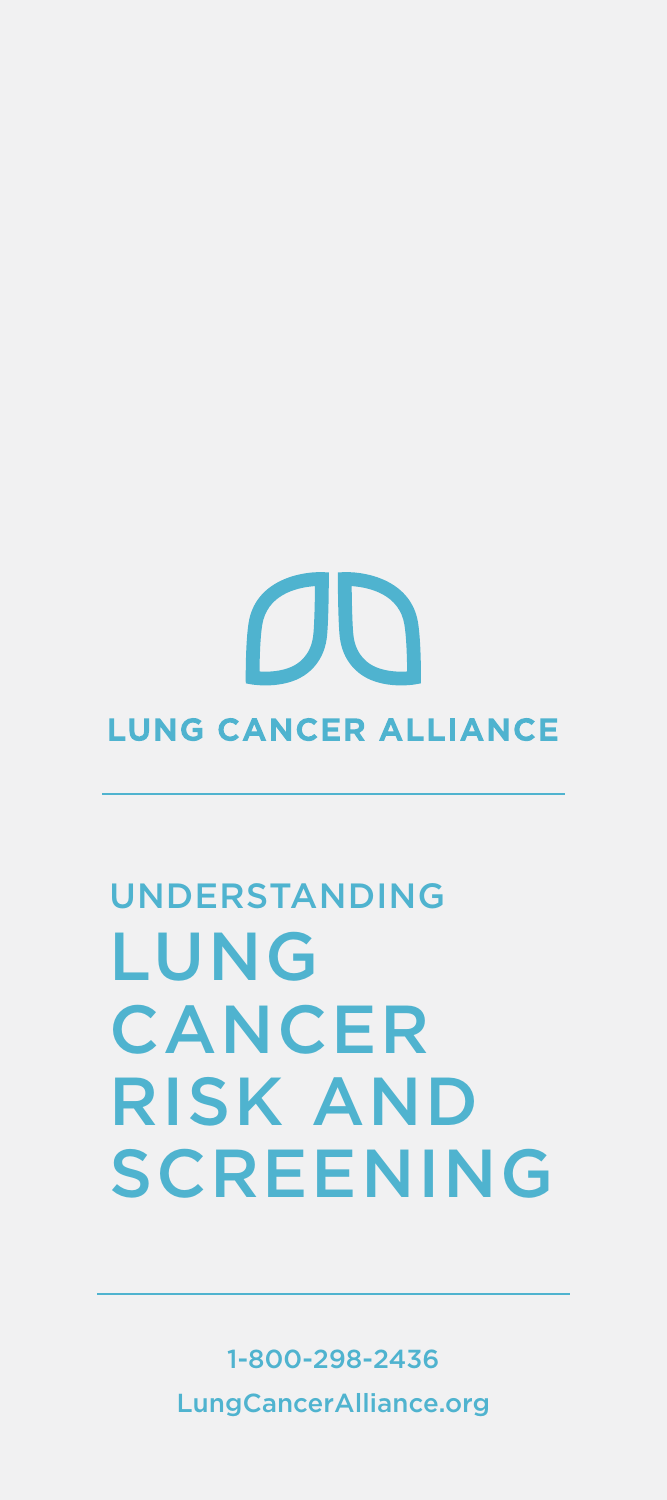# **CIU LUNG CANCER ALLIANCE**

## Understanding LUNG **CANCER** risk and **SCREENING**

1-800-298-2436 LungCancerAlliance.org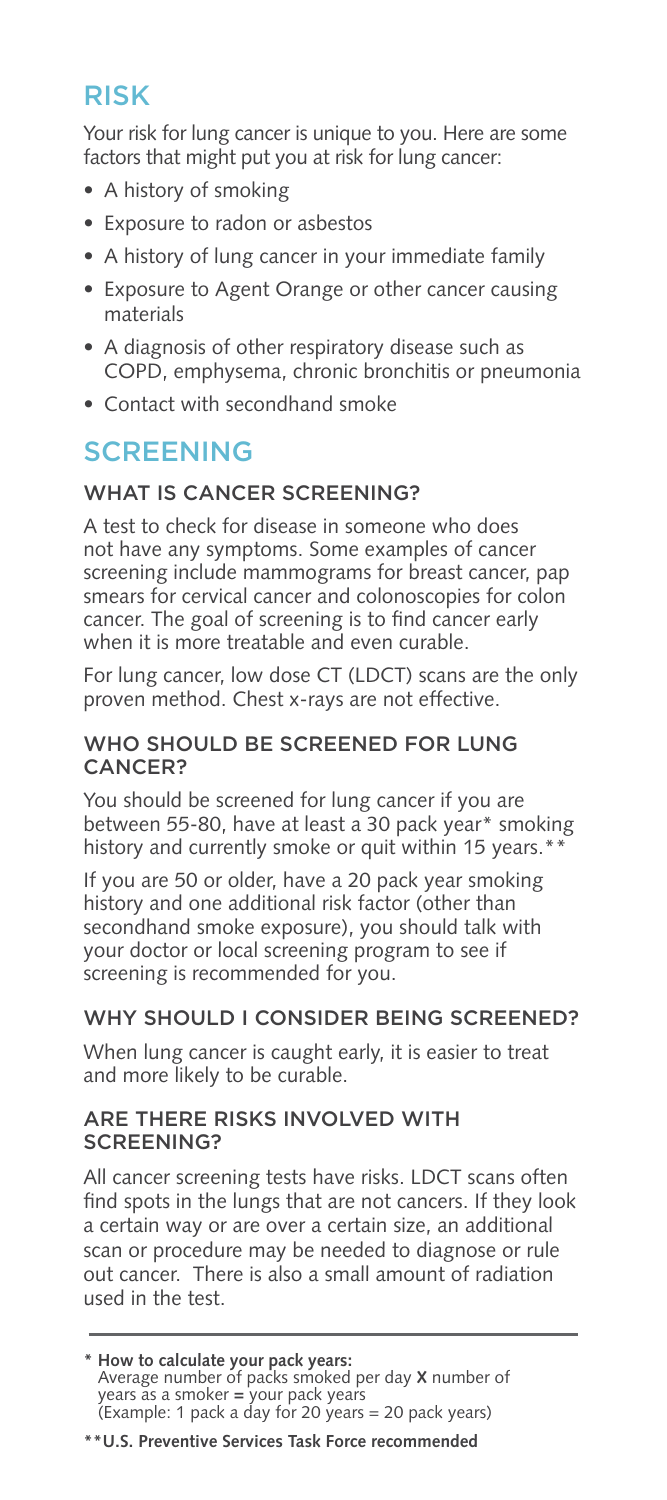## risk

Your risk for lung cancer is unique to you. Here are some factors that might put you at risk for lung cancer:

- A history of smoking
- Exposure to radon or asbestos
- A history of lung cancer in your immediate family
- Exposure to Agent Orange or other cancer causing materials
- A diagnosis of other respiratory disease such as COPD, emphysema, chronic bronchitis or pneumonia
- Contact with secondhand smoke

## **SCREENING**

## WHAT IS CANCER SCREENING?

A test to check for disease in someone who does not have any symptoms. Some examples of cancer screening include mammograms for breast cancer, pap smears for cervical cancer and colonoscopies for colon cancer. The goal of screening is to find cancer early when it is more treatable and even curable.

For lung cancer, low dose CT (LDCT) scans are the only proven method. Chest x-rays are not effective.

## Who should be screened for lung cancer?

You should be screened for lung cancer if you are between 55-80, have at least a 30 pack year\* smoking history and currently smoke or quit within 15 years.\*\*

If you are 50 or older, have a 20 pack year smoking history and one additional risk factor (other than secondhand smoke exposure), you should talk with your doctor or local screening program to see if screening is recommended for you.

## WHY SHOULD I CONSIDER BEING SCREENED?

When lung cancer is caught early, it is easier to treat and more likely to be curable.

## Are there risks involved with screening?

All cancer screening tests have risks. LDCT scans often find spots in the lungs that are not cancers. If they look a certain way or are over a certain size, an additional scan or procedure may be needed to diagnose or rule out cancer. There is also a small amount of radiation used in the test.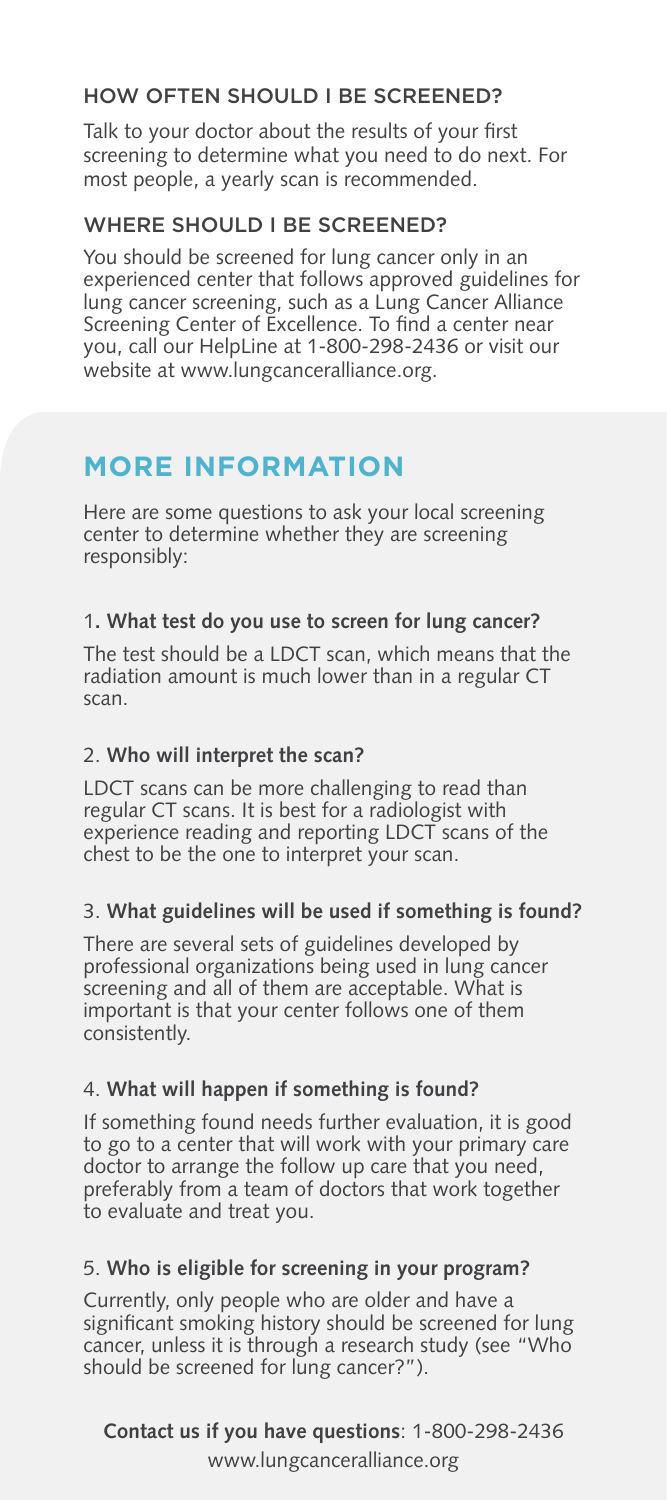## How often should i be screened?

Talk to your doctor about the results of your first screening to determine what you need to do next. For most people, a yearly scan is recommended.

## WHERE SHOULD I BE SCREENED?

You should be screened for lung cancer only in an experienced center that follows approved guidelines for lung cancer screening, such as a Lung Cancer Alliance Screening Center of Excellence. To find a center near you, call our HelpLine at 1-800-298-2436 or visit our website at www.lungcanceralliance.org.

## **more information**

Here are some questions to ask your local screening center to determine whether they are screening responsibly:

## 1**. What test do you use to screen for lung cancer?**

The test should be a LDCT scan, which means that the radiation amount is much lower than in a regular CT scan.

## 2. **Who will interpret the scan?**

LDCT scans can be more challenging to read than regular CT scans. It is best for a radiologist with experience reading and reporting LDCT scans of the chest to be the one to interpret your scan.

## 3. **What guidelines will be used if something is found?**

There are several sets of guidelines developed by professional organizations being used in lung cancer screening and all of them are acceptable. What is important is that your center follows one of them consistently.

## 4. **What will happen if something is found?**

If something found needs further evaluation, it is good to go to a center that will work with your primary care doctor to arrange the follow up care that you need, preferably from a team of doctors that work together to evaluate and treat you.

## 5. **Who is eligible for screening in your program?**

Currently, only people who are older and have a significant smoking history should be screened for lung cancer, unless it is through a research study (see "Who should be screened for lung cancer?").